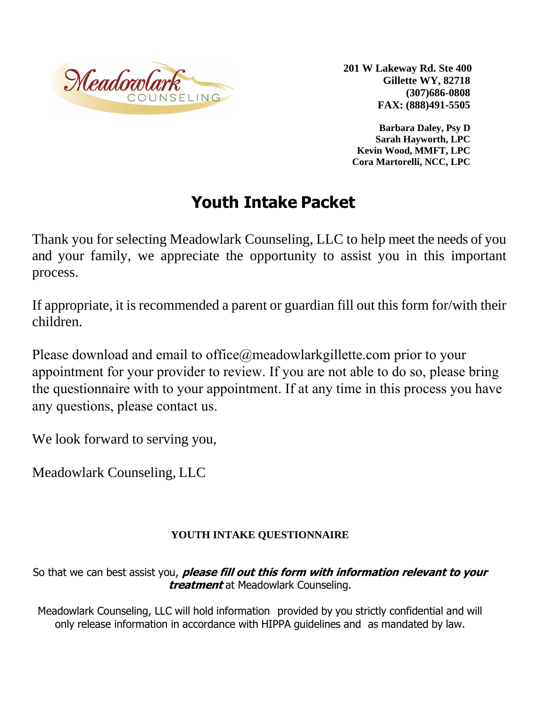

**201 W Lakeway Rd. Ste 400 Gillette WY, 82718 (307)686-0808 FAX: (888)491-5505**

**Barbara Daley, Psy D Sarah Hayworth, LPC Kevin Wood, MMFT, LPC Cora Martorelli, NCC, LPC**

# **Youth Intake Packet**

Thank you for selecting Meadowlark Counseling, LLC to help meet the needs of you and your family, we appreciate the opportunity to assist you in this important process.

If appropriate, it is recommended a parent or guardian fill out this form for/with their children.

Please download and email to office@meadowlarkgillette.com prior to your appointment for your provider to review. If you are not able to do so, please bring the questionnaire with to your appointment. If at any time in this process you have any questions, please contact us.

We look forward to serving you,

Meadowlark Counseling, LLC

## **YOUTH INTAKE QUESTIONNAIRE**

So that we can best assist you, **please fill out this form with information relevant to your treatment** at Meadowlark Counseling.

Meadowlark Counseling, LLC will hold information provided by you strictly confidential and will only release information in accordance with HIPPA guidelines and as mandated by law.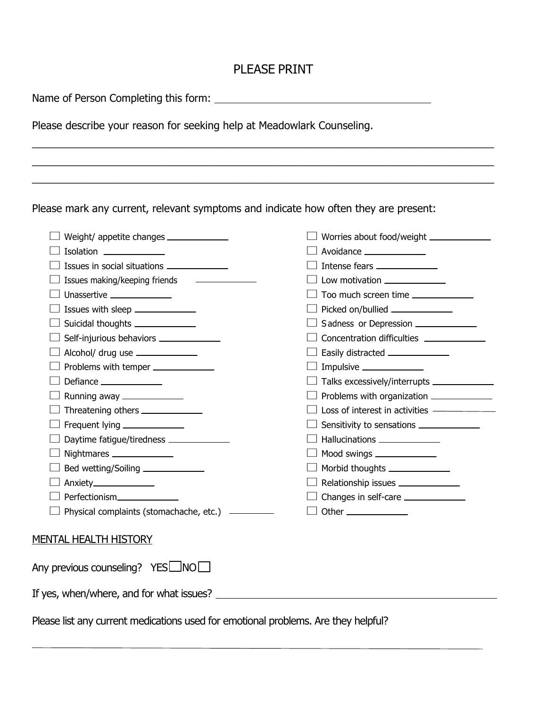## PLEASE PRINT

 $\mathcal{L}_1 = \{ \mathcal{L}_1 = \{ \mathcal{L}_2 = \{ \mathcal{L}_1 = \{ \mathcal{L}_2 = \{ \mathcal{L}_1 = \{ \mathcal{L}_2 = \{ \mathcal{L}_2 = \{ \mathcal{L}_2 = \{ \mathcal{L}_1 = \{ \mathcal{L}_2 = \{ \mathcal{L}_2 = \{ \mathcal{L}_2 = \{ \mathcal{L}_1 = \{ \mathcal{L}_2 = \{ \mathcal{L}_2 = \{ \mathcal{L}_2 = \{ \mathcal{L}_2 = \{ \mathcal{L}_2 = \{ \mathcal{L}_2 = \{ \mathcal{L}_2 = \{ \mathcal{L}_2 = \{$  $\mathcal{L}_1 = \{ \mathcal{L}_1 = \{ \mathcal{L}_2 = \{ \mathcal{L}_1 = \{ \mathcal{L}_2 = \{ \mathcal{L}_1 = \{ \mathcal{L}_2 = \{ \mathcal{L}_2 = \{ \mathcal{L}_2 = \{ \mathcal{L}_1 = \{ \mathcal{L}_2 = \{ \mathcal{L}_2 = \{ \mathcal{L}_2 = \{ \mathcal{L}_1 = \{ \mathcal{L}_2 = \{ \mathcal{L}_2 = \{ \mathcal{L}_2 = \{ \mathcal{L}_2 = \{ \mathcal{L}_2 = \{ \mathcal{L}_2 = \{ \mathcal{L}_2 = \{ \mathcal{L}_2 = \{$ 

\_\_\_\_\_\_\_\_\_\_\_\_\_\_\_\_\_\_\_\_\_\_\_\_\_\_\_\_\_\_\_\_\_\_\_\_\_\_\_\_\_\_\_\_\_\_\_\_\_\_\_\_\_\_\_\_\_\_\_\_\_\_\_\_\_\_\_\_\_\_\_\_\_\_\_\_\_\_\_

Name of Person Completing this form: Name of Person Completing this form:

Please describe your reason for seeking help at Meadowlark Counseling.

Please mark any current, relevant symptoms and indicate how often they are present:

|                                                                                    | Worries about food/weight _______________     |
|------------------------------------------------------------------------------------|-----------------------------------------------|
| Isolation _______________                                                          | Avoidance ______________                      |
| Issues in social situations ______________                                         | Intense fears ______________                  |
| Issues making/keeping friends _____________                                        | Low motivation ______________                 |
| Unassertive _______________                                                        | Too much screen time _______________          |
| Issues with sleep ______________                                                   | Picked on/bullied _____________               |
| Suicidal thoughts ______________                                                   | Sadness or Depression _____________           |
| Self-injurious behaviors ______________                                            |                                               |
| $\Box$ Alcohol/ drug use $\Box$                                                    | Easily distracted _______________             |
| Problems with temper _____________                                                 |                                               |
| Defiance _______________                                                           | Talks excessively/interrupts ________________ |
| $\Box$ Running away _______________                                                | Problems with organization ______________     |
| $\Box$ Threatening others $\_\_\_\_\_\_\_\_\_\_\_\_\_\_\_\_\_\_\_\_$               | Loss of interest in activities ——————         |
| $\Box$ Frequent lying ______________                                               |                                               |
| Daytime fatigue/tiredness ____________                                             | Hallucinations ______________                 |
| $\Box$ Nightmares ______________                                                   | Mood swings ____________                      |
| Bed wetting/Soiling ______________                                                 | Morbid thoughts ______________                |
| Anxiety_______________                                                             | Relationship issues ______________            |
| Perfectionism_______________                                                       | Changes in self-care ______________           |
| $\Box$ Physical complaints (stomachache, etc.) $\Box$                              |                                               |
| <b>MENTAL HEALTH HISTORY</b>                                                       |                                               |
| Any previous counseling? YESLINO                                                   |                                               |
| If yes, when/where, and for what issues?                                           |                                               |
|                                                                                    |                                               |
| Please list any current medications used for emotional problems. Are they helpful? |                                               |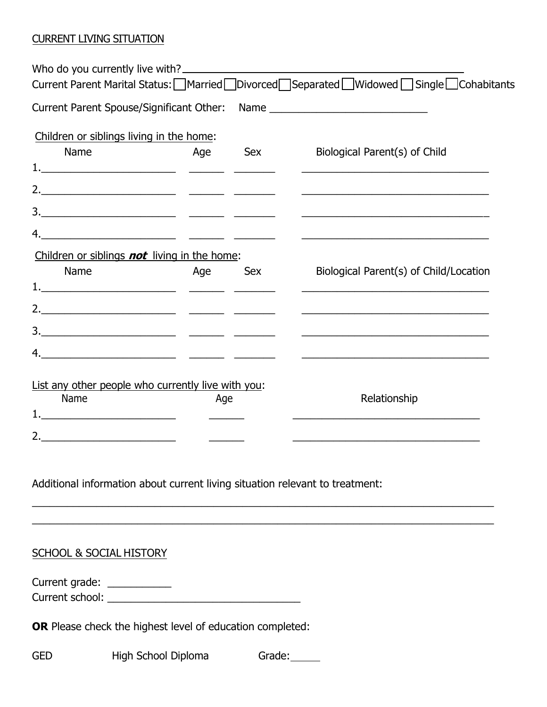#### CURRENT LIVING SITUATION

|                                                                              |     |            | Current Parent Spouse/Significant Other: Name __________________________________                                     |  |
|------------------------------------------------------------------------------|-----|------------|----------------------------------------------------------------------------------------------------------------------|--|
| Children or siblings living in the home:                                     |     |            |                                                                                                                      |  |
| Name                                                                         | Age | Sex        | Biological Parent(s) of Child                                                                                        |  |
|                                                                              |     |            |                                                                                                                      |  |
|                                                                              |     |            | <u> 1989 - Johann John Stone, markin film yn y brenin y brenin y brenin y brenin y brenin y brenin y brenin y br</u> |  |
|                                                                              |     |            |                                                                                                                      |  |
|                                                                              |     |            |                                                                                                                      |  |
| Children or siblings <b>not</b> living in the home:                          |     |            |                                                                                                                      |  |
| Name                                                                         | Age | <b>Sex</b> | Biological Parent(s) of Child/Location                                                                               |  |
|                                                                              |     |            |                                                                                                                      |  |
|                                                                              |     |            |                                                                                                                      |  |
|                                                                              |     |            |                                                                                                                      |  |
| 4.                                                                           |     |            |                                                                                                                      |  |
|                                                                              |     |            |                                                                                                                      |  |
| List any other people who currently live with you:<br>Name                   |     |            | Relationship                                                                                                         |  |
|                                                                              | Age |            |                                                                                                                      |  |
|                                                                              |     |            |                                                                                                                      |  |
|                                                                              |     |            |                                                                                                                      |  |
|                                                                              |     |            |                                                                                                                      |  |
| Additional information about current living situation relevant to treatment: |     |            |                                                                                                                      |  |

#### SCHOOL & SOCIAL HISTORY

Current grade: \_\_\_\_\_\_\_\_\_\_\_ Current school: \_\_\_\_\_\_\_\_\_\_\_\_\_\_\_\_\_\_\_\_\_\_\_\_\_\_\_\_\_\_\_\_\_

**OR** Please check the highest level of education completed:

GED High School Diploma Grade: CHE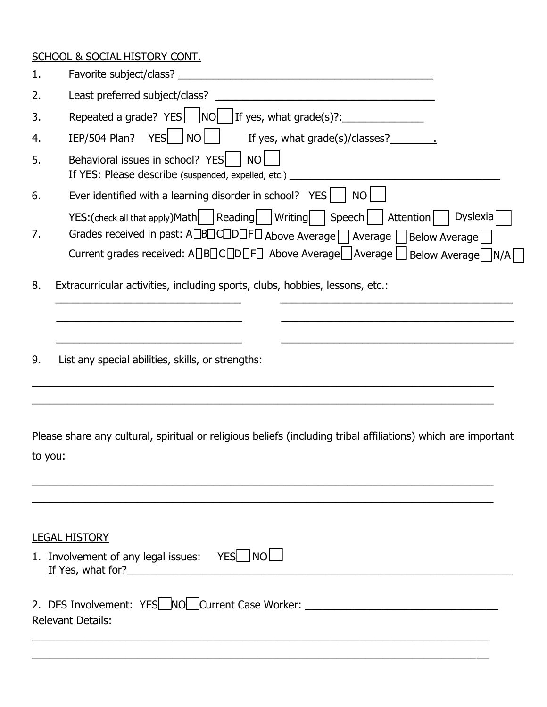# SCHOOL & SOCIAL HISTORY CONT.

| 1.      |                                                                                                                                                                                                                                                                   |
|---------|-------------------------------------------------------------------------------------------------------------------------------------------------------------------------------------------------------------------------------------------------------------------|
| 2.      | Least preferred subject/class?<br><u> 1980 - Jan Barnett, fransk politik (d. 1980)</u>                                                                                                                                                                            |
| 3.      | Repeated a grade? YES     NO     If yes, what grade(s)?: _______________________                                                                                                                                                                                  |
| 4.      | $IEP/504$ Plan? YES $\Box$ NO<br>If yes, what grade(s)/classes?                                                                                                                                                                                                   |
| 5.      | Behavioral issues in school? YES  <br>NO<br>If YES: Please describe (suspended, expelled, etc.) _                                                                                                                                                                 |
| 6.      | Ever identified with a learning disorder in school? YES<br>NO                                                                                                                                                                                                     |
| 7.      | YES:(check all that apply)Math Reading   Writing   Speech   Attention    <br>Dyslexia<br>Grades received in past: A□B□C□D□F□ Above Average □ Average □ Below Average □<br>Current grades received: A□B□C□D□F□ Above Average __ Average __ Below Average __ N/A __ |
| 8.      | Extracurricular activities, including sports, clubs, hobbies, lessons, etc.:                                                                                                                                                                                      |
| 9.      | List any special abilities, skills, or strengths:                                                                                                                                                                                                                 |
| to you: | Please share any cultural, spiritual or religious beliefs (including tribal affiliations) which are important                                                                                                                                                     |
|         | <b>LEGAL HISTORY</b><br>1. Involvement of any legal issues: $YES \cup NO \cup$<br>If Yes, what for?<br><u>If</u> Yes, what for?                                                                                                                                   |
|         | 2. DFS Involvement: YES NO Current Case Worker: ________________________________<br><b>Relevant Details:</b>                                                                                                                                                      |

\_\_\_\_\_\_\_\_\_\_\_\_\_\_\_\_\_\_\_\_\_\_\_\_\_\_\_\_\_\_\_\_\_\_\_\_\_\_\_\_\_\_\_\_\_\_\_\_\_\_\_\_\_\_\_\_\_\_\_\_\_\_\_\_\_\_\_\_\_\_\_\_\_\_\_\_\_\_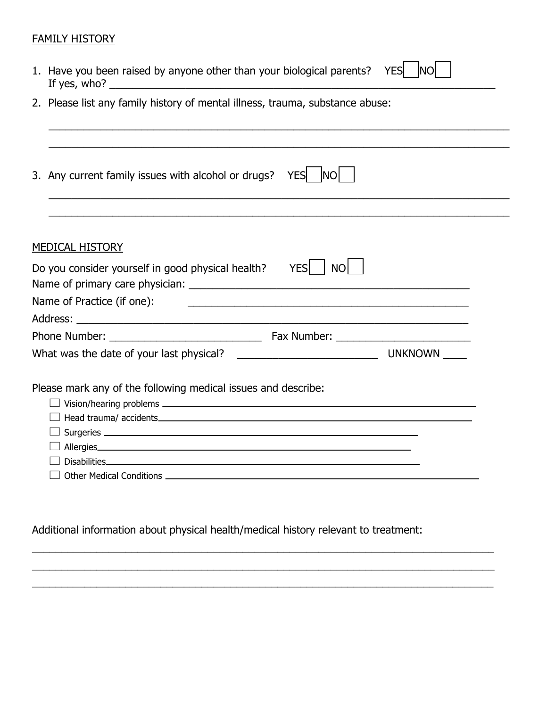#### FAMILY HISTORY

| 1. Have you been raised by anyone other than your biological parents? YES $\Box$ NO $\Box$ |  |  |
|--------------------------------------------------------------------------------------------|--|--|
| If yes, who?                                                                               |  |  |

2. Please list any family history of mental illness, trauma, substance abuse:

| 3. Any current family issues with alcohol or drugs?           | <b>YESI</b><br><b>INO</b> |  |
|---------------------------------------------------------------|---------------------------|--|
|                                                               |                           |  |
| <b>MEDICAL HISTORY</b>                                        |                           |  |
| Do you consider yourself in good physical health?             | <b>THE YES</b><br>NO.     |  |
| Name of Practice (if one):                                    |                           |  |
|                                                               |                           |  |
|                                                               |                           |  |
|                                                               |                           |  |
| Please mark any of the following medical issues and describe: |                           |  |
| Disabilities <b>Disabilities</b>                              |                           |  |
|                                                               |                           |  |

Additional information about physical health/medical history relevant to treatment:

 $\mathcal{L}_1 = \{ \mathcal{L}_1 = \{ \mathcal{L}_2 = \{ \mathcal{L}_1 = \{ \mathcal{L}_2 = \{ \mathcal{L}_1 = \{ \mathcal{L}_2 = \{ \mathcal{L}_2 = \{ \mathcal{L}_2 = \{ \mathcal{L}_1 = \{ \mathcal{L}_2 = \{ \mathcal{L}_2 = \{ \mathcal{L}_2 = \{ \mathcal{L}_1 = \{ \mathcal{L}_2 = \{ \mathcal{L}_2 = \{ \mathcal{L}_2 = \{ \mathcal{L}_2 = \{ \mathcal{L}_2 = \{ \mathcal{L}_2 = \{ \mathcal{L}_2 = \{ \mathcal{L}_2 = \{$ 

\_\_\_\_\_\_\_\_\_\_\_\_\_\_\_\_\_\_\_\_\_\_\_\_\_\_\_\_\_\_\_\_\_\_\_\_\_\_\_\_\_\_\_\_\_\_\_\_\_\_\_\_\_\_\_\_\_\_\_\_\_\_\_\_\_\_\_\_\_\_\_\_\_\_\_\_\_\_\_

\_\_\_\_\_\_\_\_\_\_\_\_\_\_\_\_\_\_\_\_\_\_\_\_\_\_\_\_\_\_\_\_\_\_\_\_\_\_\_\_\_\_\_\_\_\_\_\_\_\_\_\_\_\_\_\_\_\_\_\_\_\_\_\_\_\_\_\_\_\_\_\_\_\_\_\_\_\_\_